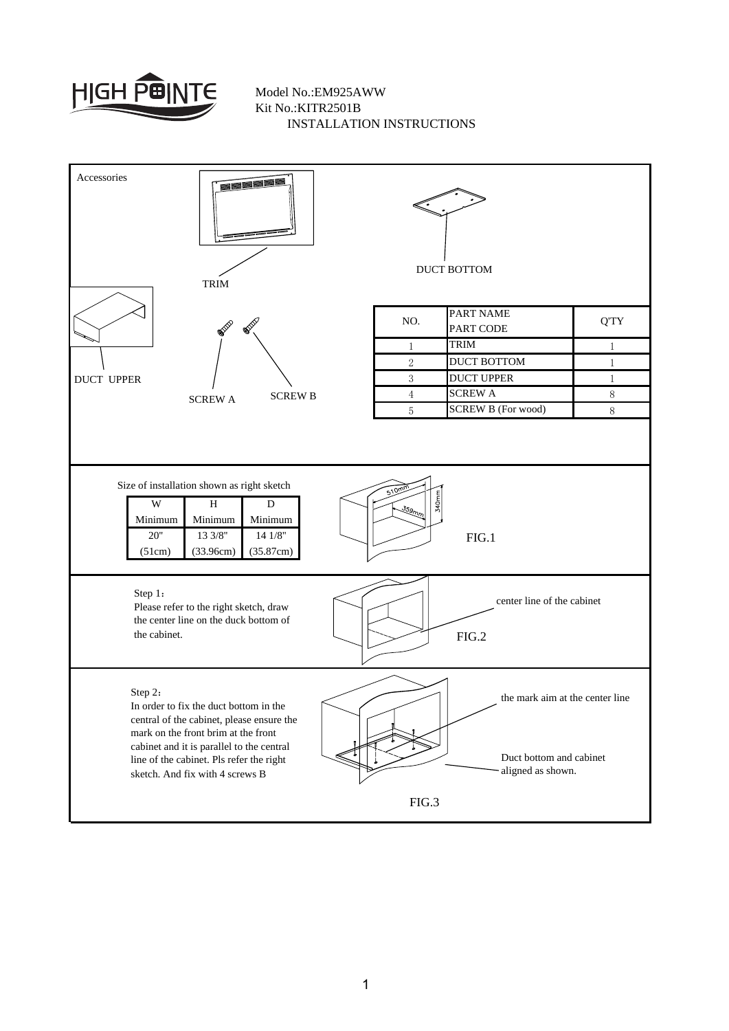

## INSTALLATION INSTRUCTIONS Kit No.:KITR2501B Model No.:EM925AWW

| Accessories                                                                                                                                                                                                                                                                                                                                          |  | <b>TRIM</b>                  | 医医舌舌舌          |   | <b>DUCT BOTTOM</b>                  |                               |             |
|------------------------------------------------------------------------------------------------------------------------------------------------------------------------------------------------------------------------------------------------------------------------------------------------------------------------------------------------------|--|------------------------------|----------------|---|-------------------------------------|-------------------------------|-------------|
|                                                                                                                                                                                                                                                                                                                                                      |  | <b>BOOK</b><br>$\mathscr{A}$ |                |   | NO.                                 | <b>PART NAME</b><br>PART CODE | Q'TY        |
|                                                                                                                                                                                                                                                                                                                                                      |  |                              |                |   | 1                                   | <b>TRIM</b>                   | 1           |
|                                                                                                                                                                                                                                                                                                                                                      |  |                              |                |   | $\,2$                               | <b>DUCT BOTTOM</b>            | $\mathbf 1$ |
| <b>DUCT UPPER</b>                                                                                                                                                                                                                                                                                                                                    |  |                              |                | 3 | <b>DUCT UPPER</b>                   | $\mathbf{1}$                  |             |
|                                                                                                                                                                                                                                                                                                                                                      |  | <b>SCREW A</b>               | <b>SCREW B</b> |   | $\overline{4}$                      | <b>SCREW A</b>                | 8           |
|                                                                                                                                                                                                                                                                                                                                                      |  |                              |                |   | $\overline{5}$                      | <b>SCREW B (For wood)</b>     | $8\,$       |
| Size of installation shown as right sketch<br>340mm<br>W<br>$\, {\rm H}$<br>D<br>359mm<br>Minimum<br>Minimum<br>Minimum<br>20"<br>13 3/8"<br>$14 \frac{1}{8}$ "<br>FIG.1<br>(51cm)<br>(33.96cm)<br>(35.87cm)                                                                                                                                         |  |                              |                |   |                                     |                               |             |
| Step 1:<br>Please refer to the right sketch, draw<br>the center line on the duck bottom of<br>the cabinet.                                                                                                                                                                                                                                           |  |                              |                |   | center line of the cabinet<br>FIG.2 |                               |             |
| Step 2:<br>the mark aim at the center line<br>In order to fix the duct bottom in the<br>central of the cabinet, please ensure the<br>mark on the front brim at the front<br>cabinet and it is parallel to the central<br>Duct bottom and cabinet<br>line of the cabinet. Pls refer the right<br>aligned as shown.<br>sketch. And fix with 4 screws B |  |                              |                |   |                                     |                               |             |
|                                                                                                                                                                                                                                                                                                                                                      |  |                              |                |   | FIG.3                               |                               |             |